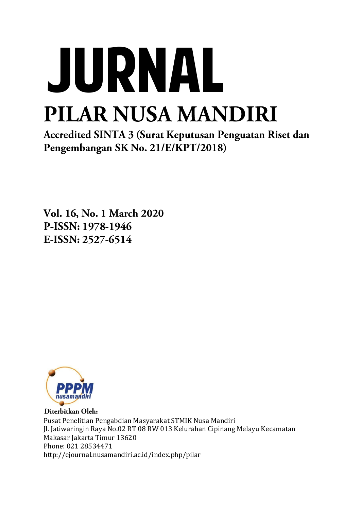# **JURNAL**<br>PILAR NUSA MANDIRI

Accredited SINTA 3 (Surat Keputusan Penguatan Riset dan Pengembangan SK No. 21/E/KPT/2018)

Vol. 16, No. 1 March 2020 P-ISSN: 1978-1946 E-ISSN: 2527-6514



Diterbitkan Oleh: Pusat Penelitian Pengabdian Masyarakat STMIK Nusa Mandiri Jl. Jatiwaringin Raya No.02 RT 08 RW 013 Kelurahan Cipinang Melayu Kecamatan Makasar Jakarta Timur 13620 Phone: 021 28534471 http://ejournal.nusamandiri.ac.id/index.php/pilar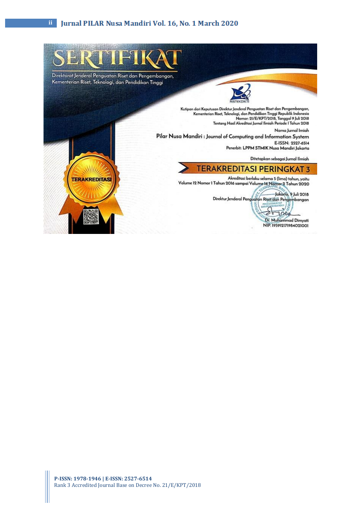### **ii**Jurnal PILAR Nusa Mandiri Vol. 16, No. 1 March 2020

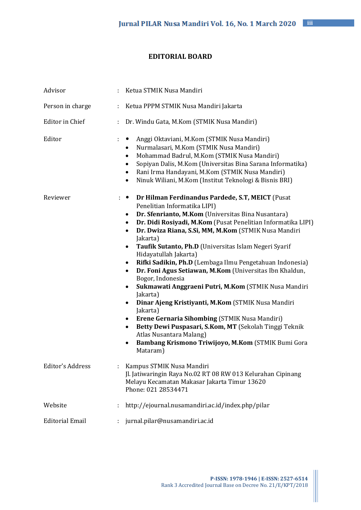## **EDITORIAL BOARD**

| Advisor                 | : Ketua STMIK Nusa Mandiri                                                                                                                                                                                                                                                                                                                                                                                                                                                                                                                                                                                                                                                                                                                                                                                                                                                                                                                                                                                                  |
|-------------------------|-----------------------------------------------------------------------------------------------------------------------------------------------------------------------------------------------------------------------------------------------------------------------------------------------------------------------------------------------------------------------------------------------------------------------------------------------------------------------------------------------------------------------------------------------------------------------------------------------------------------------------------------------------------------------------------------------------------------------------------------------------------------------------------------------------------------------------------------------------------------------------------------------------------------------------------------------------------------------------------------------------------------------------|
| Person in charge        | : Ketua PPPM STMIK Nusa Mandiri Jakarta                                                                                                                                                                                                                                                                                                                                                                                                                                                                                                                                                                                                                                                                                                                                                                                                                                                                                                                                                                                     |
| Editor in Chief         | Dr. Windu Gata, M.Kom (STMIK Nusa Mandiri)<br>÷.                                                                                                                                                                                                                                                                                                                                                                                                                                                                                                                                                                                                                                                                                                                                                                                                                                                                                                                                                                            |
| Editor                  | Anggi Oktaviani, M.Kom (STMIK Nusa Mandiri)<br>$\bullet$<br>Nurmalasari, M.Kom (STMIK Nusa Mandiri)<br>$\bullet$<br>Mohammad Badrul, M.Kom (STMIK Nusa Mandiri)<br>$\bullet$<br>Sopiyan Dalis, M.Kom (Universitas Bina Sarana Informatika)<br>$\bullet$<br>Rani Irma Handayani, M.Kom (STMIK Nusa Mandiri)<br>$\bullet$<br>Ninuk Wiliani, M.Kom (Institut Teknologi & Bisnis BRI)<br>$\bullet$                                                                                                                                                                                                                                                                                                                                                                                                                                                                                                                                                                                                                              |
| Reviewer                | Dr Hilman Ferdinandus Pardede, S.T, MEICT (Pusat<br>$\mathbf{r}$<br>Penelitian Informatika LIPI)<br>Dr. Sfenrianto, M.Kom (Universitas Bina Nusantara)<br>$\bullet$<br>Dr. Didi Rosiyadi, M.Kom (Pusat Penelitian Informatika LIPI)<br>$\bullet$<br>Dr. Dwiza Riana, S.Si, MM, M.Kom (STMIK Nusa Mandiri<br>$\bullet$<br>Jakarta)<br>Taufik Sutanto, Ph.D (Universitas Islam Negeri Syarif<br>$\bullet$<br>Hidayatullah Jakarta)<br>Rifki Sadikin, Ph.D (Lembaga Ilmu Pengetahuan Indonesia)<br>$\bullet$<br>Dr. Foni Agus Setiawan, M.Kom (Universitas Ibn Khaldun,<br>$\bullet$<br>Bogor, Indonesia<br>Sukmawati Anggraeni Putri, M.Kom (STMIK Nusa Mandiri<br>$\bullet$<br>Jakarta)<br>Dinar Ajeng Kristiyanti, M.Kom (STMIK Nusa Mandiri<br>$\bullet$<br>Jakarta)<br><b>Erene Gernaria Sihombing (STMIK Nusa Mandiri)</b><br>$\bullet$<br>Betty Dewi Puspasari, S.Kom, MT (Sekolah Tinggi Teknik<br>$\bullet$<br>Atlas Nusantara Malang)<br>Bambang Krismono Triwijoyo, M.Kom (STMIK Bumi Gora<br>$\bullet$<br>Mataram) |
| <b>Editor's Address</b> | Kampus STMIK Nusa Mandiri<br>Jl. Jatiwaringin Raya No.02 RT 08 RW 013 Kelurahan Cipinang<br>Melayu Kecamatan Makasar Jakarta Timur 13620<br>Phone: 021 28534471                                                                                                                                                                                                                                                                                                                                                                                                                                                                                                                                                                                                                                                                                                                                                                                                                                                             |
| Website                 | http://ejournal.nusamandiri.ac.id/index.php/pilar                                                                                                                                                                                                                                                                                                                                                                                                                                                                                                                                                                                                                                                                                                                                                                                                                                                                                                                                                                           |
| <b>Editorial Email</b>  | jurnal.pilar@nusamandiri.ac.id                                                                                                                                                                                                                                                                                                                                                                                                                                                                                                                                                                                                                                                                                                                                                                                                                                                                                                                                                                                              |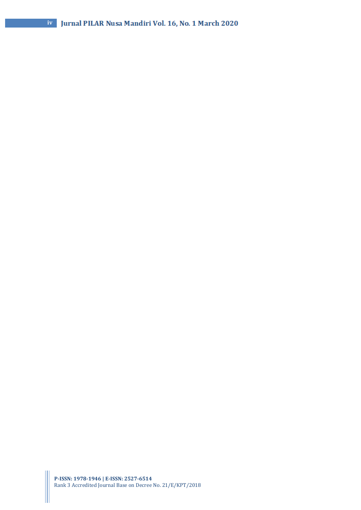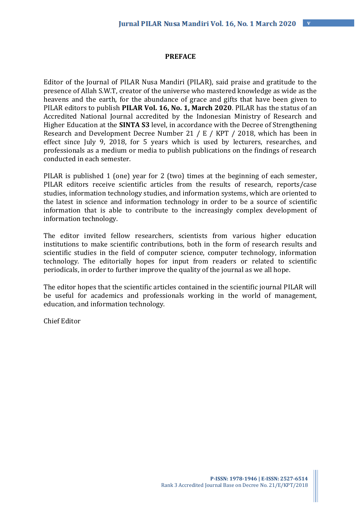### **PREFACE**

Editor of the Journal of PILAR Nusa Mandiri (PILAR), said praise and gratitude to the presence of Allah S.W.T, creator of the universe who mastered knowledge as wide as the heavens and the earth, for the abundance of grace and gifts that have been given to PILAR editors to publish **PILAR Vol. 16, No. 1, March 2020**. PILAR has the status of an Accredited National Journal accredited by the Indonesian Ministry of Research and Higher Education at the **SINTA S3** level, in accordance with the Decree of Strengthening Research and Development Decree Number 21 / E / KPT / 2018, which has been in effect since July 9, 2018, for 5 years which is used by lecturers, researches, and professionals as a medium or media to publish publications on the findings of research conducted in each semester.

PILAR is published 1 (one) year for 2 (two) times at the beginning of each semester, PILAR editors receive scientific articles from the results of research, reports/case studies, information technology studies, and information systems, which are oriented to the latest in science and information technology in order to be a source of scientific information that is able to contribute to the increasingly complex development of information technology.

The editor invited fellow researchers, scientists from various higher education institutions to make scientific contributions, both in the form of research results and scientific studies in the field of computer science, computer technology, information technology. The editorially hopes for input from readers or related to scientific periodicals, in order to further improve the quality of the journal as we all hope.

The editor hopes that the scientific articles contained in the scientific journal PILAR will be useful for academics and professionals working in the world of management, education, and information technology.

Chief Editor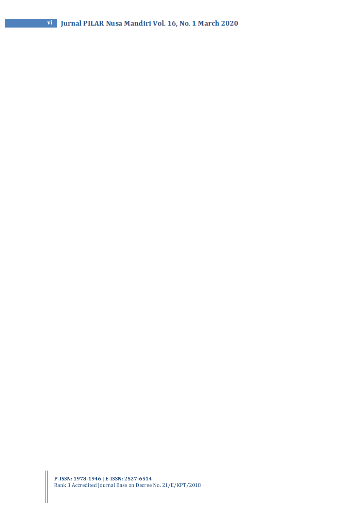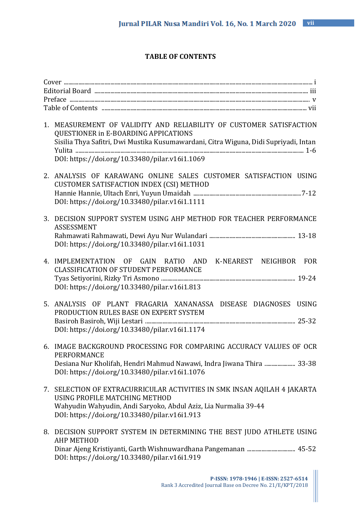# **TABLE OF CONTENTS**

|  | 1. MEASUREMENT OF VALIDITY AND RELIABILITY OF CUSTOMER SATISFACTION<br>QUESTIONER in E-BOARDING APPICATIONS<br>Sisilia Thya Safitri, Dwi Mustika Kusumawardani, Citra Wiguna, Didi Supriyadi, Intan<br>DOI: https://doi.org/10.33480/pilar.v16i1.1069 |  |
|--|-------------------------------------------------------------------------------------------------------------------------------------------------------------------------------------------------------------------------------------------------------|--|
|  | 2. ANALYSIS OF KARAWANG ONLINE SALES CUSTOMER SATISFACTION USING<br><b>CUSTOMER SATISFACTION INDEX (CSI) METHOD</b><br>DOI: https://doi.org/10.33480/pilar.v16i1.1111                                                                                 |  |
|  | 3. DECISION SUPPORT SYSTEM USING AHP METHOD FOR TEACHER PERFORMANCE<br><b>ASSESSMENT</b><br>DOI: https://doi.org/10.33480/pilar.v16i1.1031                                                                                                            |  |
|  | 4. IMPLEMENTATION OF GAIN RATIO AND K-NEAREST NEIGHBOR FOR<br><b>CLASSIFICATION OF STUDENT PERFORMANCE</b><br>DOI: https://doi.org/10.33480/pilar.v16i1.813                                                                                           |  |
|  | 5. ANALYSIS OF PLANT FRAGARIA XANANASSA DISEASE DIAGNOSES USING<br>PRODUCTION RULES BASE ON EXPERT SYSTEM<br>DOI: https://doi.org/10.33480/pilar.v16i1.1174                                                                                           |  |
|  | 6. IMAGE BACKGROUND PROCESSING FOR COMPARING ACCURACY VALUES OF OCR<br>PERFORMANCE<br>Desiana Nur Kholifah, Hendri Mahmud Nawawi, Indra Jiwana Thira  33-38<br>DOI: https://doi.org/10.33480/pilar.v16i1.1076                                         |  |
|  | 7. SELECTION OF EXTRACURRICULAR ACTIVITIES IN SMK INSAN AQILAH 4 JAKARTA<br>USING PROFILE MATCHING METHOD<br>Wahyudin Wahyudin, Andi Saryoko, Abdul Aziz, Lia Nurmalia 39-44<br>DOI: https://doi.org/10.33480/pilar.v16i1.913                         |  |
|  | 8. DECISION SUPPORT SYSTEM IN DETERMINING THE BEST JUDO ATHLETE USING<br><b>AHP METHOD</b><br>DOI: https://doi.org/10.33480/pilar.v16i1.919                                                                                                           |  |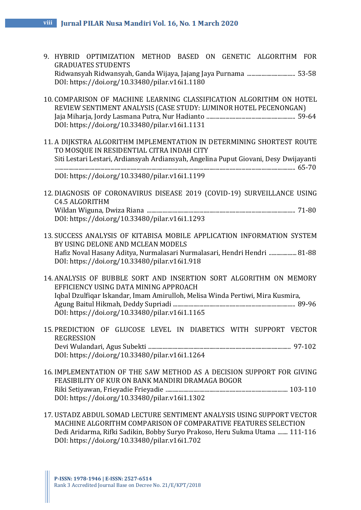- 9. HYBRID OPTIMIZATION METHOD BASED ON GENETIC ALGORITHM FOR GRADUATES STUDENTS Ridwansyah Ridwansyah, Ganda Wijaya, Jajang Jaya Purnama ................................. 53-58 DOI: https://doi.org/10.33480/pilar.v16i1.1180
- 10. COMPARISON OF MACHINE LEARNING CLASSIFICATION ALGORITHM ON HOTEL REVIEW SENTIMENT ANALYSIS (CASE STUDY: LUMINOR HOTEL PECENONGAN) Jaja Miharja, Jordy Lasmana Putra, Nur Hadianto ............................................................. 59-64 DOI: https://doi.org/10.33480/pilar.v16i1.1131
- 11. A DIJKSTRA ALGORITHM IMPLEMENTATION IN DETERMINING SHORTEST ROUTE TO MOSQUE IN RESIDENTIAL CITRA INDAH CITY Siti Lestari Lestari, Ardiansyah Ardiansyah, Angelina Puput Giovani, Desy Dwijayanti ..................................................................................................................................................................... 65-70 DOI: https://doi.org/10.33480/pilar.v16i1.1199
- 12. DIAGNOSIS OF CORONAVIRUS DISEASE 2019 (COVID-19) SURVEILLANCE USING C4.5 ALGORITHM Wildan Wiguna, Dwiza Riana ...................................................................................................... 71-80 DOI: https://doi.org/10.33480/pilar.v16i1.1293
- 13. SUCCESS ANALYSIS OF KITABISA MOBILE APPLICATION INFORMATION SYSTEM BY USING DELONE AND MCLEAN MODELS Hafiz Noval Hasany Aditya, Nurmalasari Nurmalasari, Hendri Hendri ................... 81-88 DOI: https://doi.org/10.33480/pilar.v16i1.918
- 14. ANALYSIS OF BUBBLE SORT AND INSERTION SORT ALGORITHM ON MEMORY EFFICIENCY USING DATA MINING APPROACH Iqbal Dzulfiqar Iskandar, Imam Amirulloh, Melisa Winda Pertiwi, Mira Kusmira, Agung Baitul Hikmah, Deddy Supriadi .................................................................................... 89-96 DOI: https://doi.org/10.33480/pilar.v16i1.1165
- 15. PREDICTION OF GLUCOSE LEVEL IN DIABETICS WITH SUPPORT VECTOR REGRESSION Devi Wulandari, Agus Subekti .................................................................................................. 97-102 DOI: https://doi.org/10.33480/pilar.v16i1.1264
- 16. IMPLEMENTATION OF THE SAW METHOD AS A DECISION SUPPORT FOR GIVING FEASIBILITY OF KUR ON BANK MANDIRI DRAMAGA BOGOR Riki Setiyawan, Frieyadie Frieyadie .................................................................................... 103-110 DOI: https://doi.org/10.33480/pilar.v16i1.1302
- 17. USTADZ ABDUL SOMAD LECTURE SENTIMENT ANALYSIS USING SUPPORT VECTOR MACHINE ALGORITHM COMPARISON OF COMPARATIVE FEATURES SELECTION Dedi Aridarma, Rifki Sadikin, Bobby Suryo Prakoso, Heru Sukma Utama ....... 111-116 DOI: https://doi.org/10.33480/pilar.v16i1.702